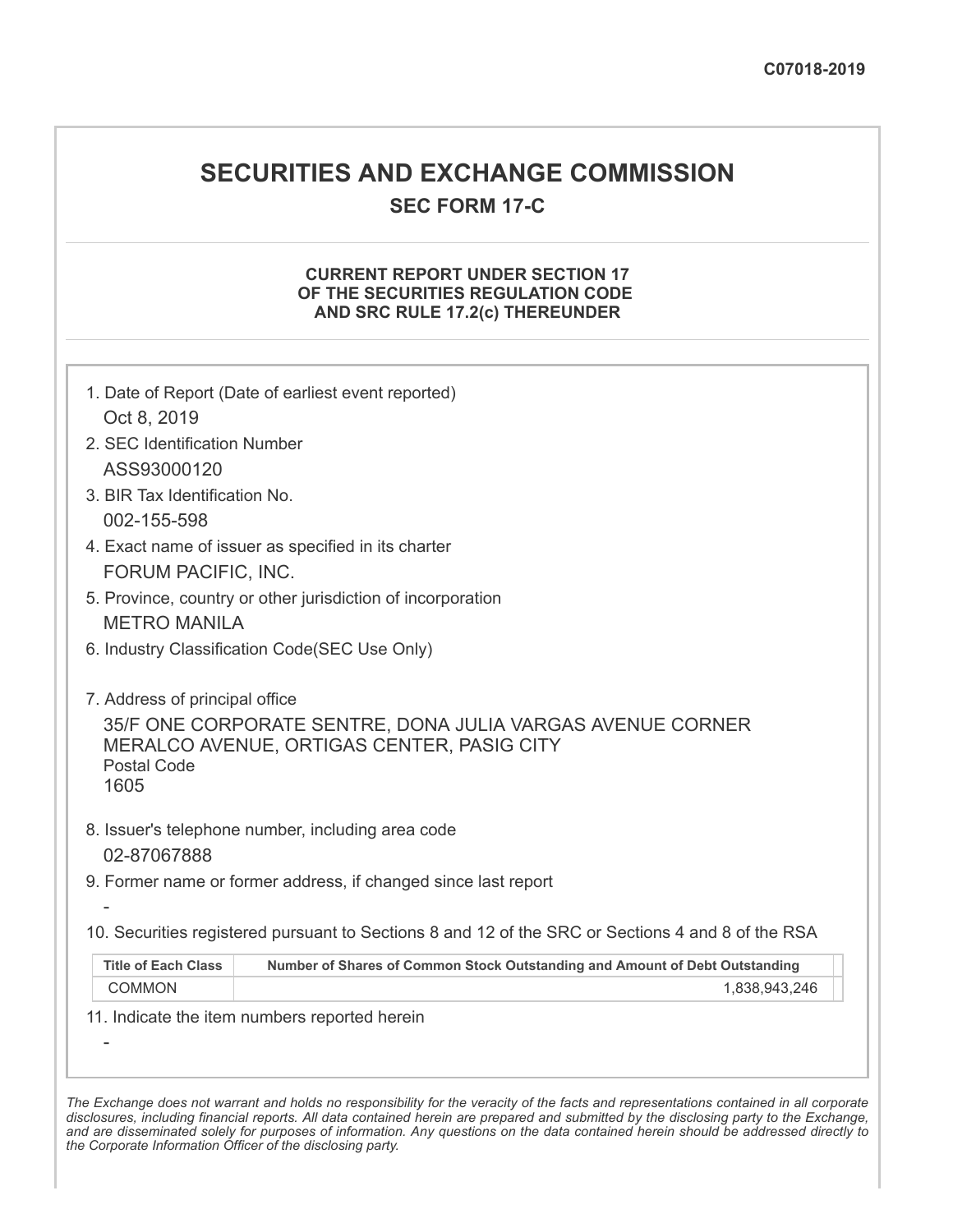# **SECURITIES AND EXCHANGE COMMISSION**

**SEC FORM 17-C**

## **CURRENT REPORT UNDER SECTION 17 OF THE SECURITIES REGULATION CODE AND SRC RULE 17.2(c) THEREUNDER**

| Oct 8, 2019<br>2. SEC Identification Number                  | 1. Date of Report (Date of earliest event reported)                                                      |
|--------------------------------------------------------------|----------------------------------------------------------------------------------------------------------|
| ASS93000120                                                  |                                                                                                          |
| 3. BIR Tax Identification No.                                |                                                                                                          |
| 002-155-598                                                  |                                                                                                          |
|                                                              | 4. Exact name of issuer as specified in its charter                                                      |
| FORUM PACIFIC, INC.                                          | 5. Province, country or other jurisdiction of incorporation                                              |
| <b>METRO MANILA</b>                                          |                                                                                                          |
|                                                              | 6. Industry Classification Code(SEC Use Only)                                                            |
|                                                              |                                                                                                          |
| 7. Address of principal office<br><b>Postal Code</b><br>1605 | 35/F ONE CORPORATE SENTRE, DONA JULIA VARGAS AVENUE CORNER<br>MERALCO AVENUE, ORTIGAS CENTER, PASIG CITY |
| 02-87067888                                                  | 8. Issuer's telephone number, including area code                                                        |
|                                                              | 9. Former name or former address, if changed since last report                                           |
|                                                              | 10. Securities registered pursuant to Sections 8 and 12 of the SRC or Sections 4 and 8 of the RSA        |
| <b>Title of Each Class</b>                                   | Number of Shares of Common Stock Outstanding and Amount of Debt Outstanding                              |
| <b>COMMON</b>                                                | 1,838,943,246                                                                                            |
|                                                              | 11. Indicate the item numbers reported herein                                                            |
|                                                              |                                                                                                          |
|                                                              |                                                                                                          |

The Exchange does not warrant and holds no responsibility for the veracity of the facts and representations contained in all corporate disclosures, including financial reports. All data contained herein are prepared and submitted by the disclosing party to the Exchange, and are disseminated solely for purposes of information. Any questions on the data contained herein should be addressed directly to *the Corporate Information Officer of the disclosing party.*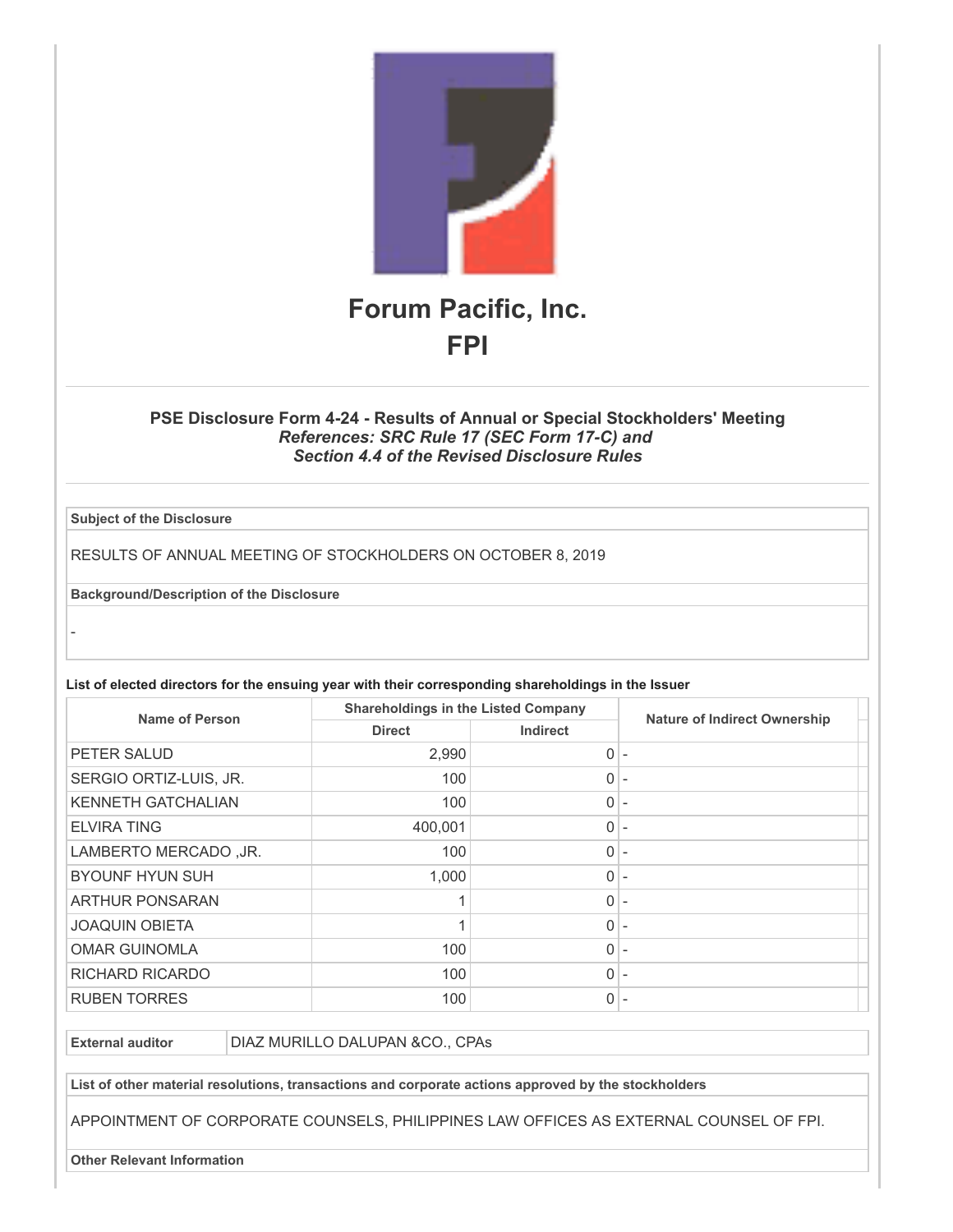

### **PSE Disclosure Form 4-24 - Results of Annual or Special Stockholders' Meeting** *References: SRC Rule 17 (SEC Form 17-C) and Section 4.4 of the Revised Disclosure Rules*

**Subject of the Disclosure**

-

RESULTS OF ANNUAL MEETING OF STOCKHOLDERS ON OCTOBER 8, 2019

**Background/Description of the Disclosure**

**List of elected directors for the ensuing year with their corresponding shareholdings in the Issuer**

| Name of Person            | <b>Shareholdings in the Listed Company</b> |                 | <b>Nature of Indirect Ownership</b> |
|---------------------------|--------------------------------------------|-----------------|-------------------------------------|
|                           | <b>Direct</b>                              | <b>Indirect</b> |                                     |
| PETER SALUD               | 2,990                                      | 0               | $\overline{\phantom{a}}$            |
| SERGIO ORTIZ-LUIS, JR.    | 100                                        | 0               |                                     |
| <b>KENNETH GATCHALIAN</b> | 100                                        | 0               |                                     |
| <b>ELVIRA TING</b>        | 400,001                                    | 0               | $\overline{\phantom{a}}$            |
| LAMBERTO MERCADO, JR.     | 100                                        | 0               | $\overline{\phantom{a}}$            |
| <b>BYOUNF HYUN SUH</b>    | 1,000                                      | 0               | $\overline{\phantom{a}}$            |
| <b>ARTHUR PONSARAN</b>    |                                            | 0               |                                     |
| <b>JOAQUIN OBIETA</b>     |                                            | 0               |                                     |
| <b>OMAR GUINOMLA</b>      | 100                                        | 0               |                                     |
| <b>RICHARD RICARDO</b>    | 100                                        | 0               |                                     |
| <b>RUBEN TORRES</b>       | 100                                        | 0               |                                     |

**External auditor** DIAZ MURILLO DALUPAN &CO., CPAs

**List of other material resolutions, transactions and corporate actions approved by the stockholders**

APPOINTMENT OF CORPORATE COUNSELS, PHILIPPINES LAW OFFICES AS EXTERNAL COUNSEL OF FPI.

**Other Relevant Information**